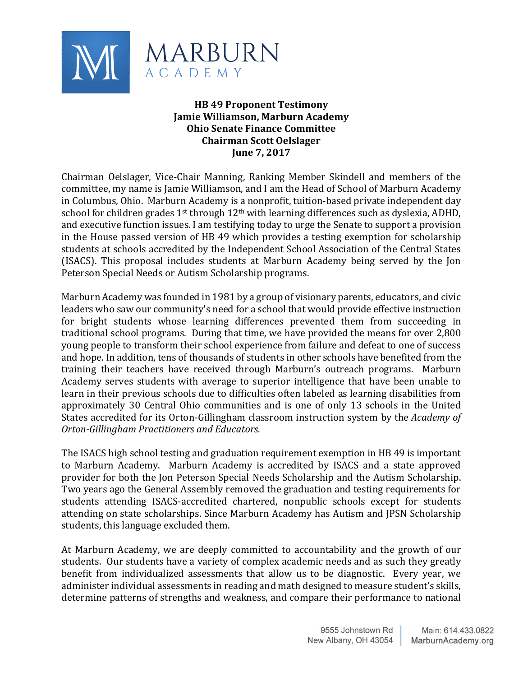

## **HB 49 Proponent Testimony Jamie Williamson, Marburn Academy Ohio Senate Finance Committee Chairman Scott Oelslager June 7, 2017**

Chairman Oelslager, Vice-Chair Manning, Ranking Member Skindell and members of the committee, my name is Jamie Williamson, and I am the Head of School of Marburn Academy in Columbus, Ohio. Marburn Academy is a nonprofit, tuition-based private independent day school for children grades 1<sup>st</sup> through 12<sup>th</sup> with learning differences such as dyslexia, ADHD, and executive function issues. I am testifying today to urge the Senate to support a provision in the House passed version of HB 49 which provides a testing exemption for scholarship students at schools accredited by the Independent School Association of the Central States (ISACS). This proposal includes students at Marburn Academy being served by the Jon Peterson Special Needs or Autism Scholarship programs.

Marburn Academy was founded in 1981 by a group of visionary parents, educators, and civic leaders who saw our community's need for a school that would provide effective instruction for bright students whose learning differences prevented them from succeeding in traditional school programs. During that time, we have provided the means for over 2,800 young people to transform their school experience from failure and defeat to one of success and hope. In addition, tens of thousands of students in other schools have benefited from the training their teachers have received through Marburn's outreach programs. Marburn Academy serves students with average to superior intelligence that have been unable to learn in their previous schools due to difficulties often labeled as learning disabilities from approximately 30 Central Ohio communities and is one of only 13 schools in the United States accredited for its Orton-Gillingham classroom instruction system by the *Academy of Orton-Gillingham Practitioners and Educators.* 

The ISACS high school testing and graduation requirement exemption in HB 49 is important to Marburn Academy. Marburn Academy is accredited by ISACS and a state approved provider for both the Jon Peterson Special Needs Scholarship and the Autism Scholarship. Two years ago the General Assembly removed the graduation and testing requirements for students attending ISACS-accredited chartered, nonpublic schools except for students attending on state scholarships. Since Marburn Academy has Autism and JPSN Scholarship students, this language excluded them.

At Marburn Academy, we are deeply committed to accountability and the growth of our students. Our students have a variety of complex academic needs and as such they greatly benefit from individualized assessments that allow us to be diagnostic. Every year, we administer individual assessments in reading and math designed to measure student's skills, determine patterns of strengths and weakness, and compare their performance to national